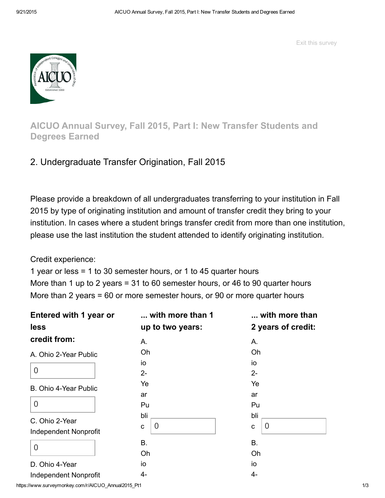Exit this survey



AICUO Annual Survey, Fall 2015, Part I: New Transfer Students and Degrees Earned

# 2. Undergraduate Transfer Origination, Fall 2015

Please provide a breakdown of all undergraduates transferring to your institution in Fall 2015 by type of originating institution and amount of transfer credit they bring to your institution. In cases where a student brings transfer credit from more than one institution, please use the last institution the student attended to identify originating institution.

Credit experience:

1 year or less = 1 to 30 semester hours, or 1 to 45 quarter hours More than 1 up to 2 years = 31 to 60 semester hours, or 46 to 90 quarter hours More than 2 years = 60 or more semester hours, or 90 or more quarter hours

| Entered with 1 year or                         | with more than 1           | with more than                 |  |  |
|------------------------------------------------|----------------------------|--------------------------------|--|--|
| less                                           | up to two years:           | 2 years of credit:             |  |  |
| credit from:                                   | Α.                         | Α.                             |  |  |
| A. Ohio 2-Year Public                          | Oh                         | Oh                             |  |  |
| $\overline{0}$                                 | io<br>$2-$                 | io<br>$2-$                     |  |  |
| B. Ohio 4-Year Public                          | Ye<br>ar                   | Ye<br>ar                       |  |  |
| $\overline{0}$                                 | Pu                         | Pu                             |  |  |
| C. Ohio 2-Year<br><b>Independent Nonprofit</b> | bli<br>$\overline{0}$<br>C | bli<br>$\Omega$<br>$\mathbf c$ |  |  |
| $\overline{0}$                                 | <b>B.</b><br>Oh            | <b>B.</b><br>Oh                |  |  |
| D. Ohio 4-Year                                 | io                         | io                             |  |  |
| <b>Independent Nonprofit</b>                   | 4-                         | 4-                             |  |  |

https://www.surveymonkey.com/r/AICUO\_Annual2015\_Pt1 1/3 1/3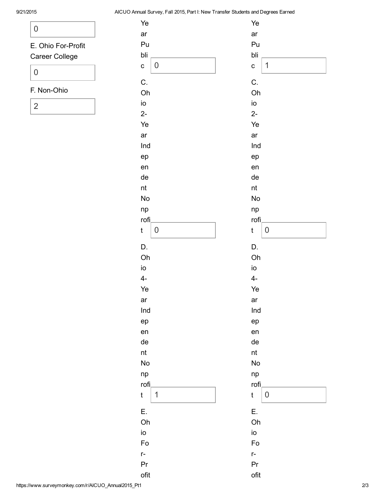#### 9/21/2015 AICUO Annual Survey, Fall 2015, Part I: New Transfer Students and Degrees Earned

| O                                           |  |
|---------------------------------------------|--|
| E. Ohio For-Profit<br><b>Career College</b> |  |
| 0                                           |  |
| F Non-Ohio                                  |  |
|                                             |  |

| Ye        |   | Ye            |             |
|-----------|---|---------------|-------------|
| ar        |   | ar            |             |
| Pu        |   | Pu            |             |
| bli       |   | bli           |             |
| C         | 0 | C             | 1           |
| C.        |   | C.            |             |
| Oh        |   | Oh            |             |
| io        |   | io            |             |
| $2-$      |   | $2-$          |             |
| Ye        |   | Ye            |             |
| ar        |   | ar            |             |
| Ind       |   | Ind           |             |
| ep        |   | ep            |             |
| en        |   | en            |             |
| de        |   | de            |             |
| nt        |   | $\sf nt$      |             |
| <b>No</b> |   | <b>No</b>     |             |
| np        |   | np            |             |
| rofi,     |   | rofi          |             |
| t         | 0 | $\mathfrak t$ | $\mathbf 0$ |
| D.        |   | D.            |             |
| Oh        |   | Oh            |             |
| io        |   | io            |             |
| $4-$      |   | $4-$          |             |
| Ye        |   | Ye            |             |
| ar        |   | ar            |             |
| Ind       |   | Ind           |             |
| ep        |   | ep            |             |
| en        |   | en            |             |
| de        |   | de            |             |
| nt        |   | nt            |             |
| <b>No</b> |   | <b>No</b>     |             |
| np        |   | np            |             |
| rofi,     |   | rofi          |             |
| t         | 1 | $\mathfrak t$ | 0           |
| Ε.        |   | Ε.            |             |
| Oh        |   | Oh            |             |
| io        |   | io            |             |
| Fo        |   | Fo            |             |
| $r-$      |   | $r-$          |             |
| Pr        |   | Pr            |             |
| ofit      |   | ofit          |             |
|           |   |               |             |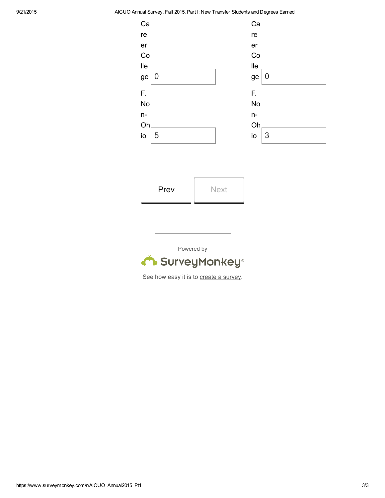#### 9/21/2015 AICUO Annual Survey, Fall 2015, Part I: New Transfer Students and Degrees Earned



| Prev | <b>Next</b> |
|------|-------------|
|      |             |

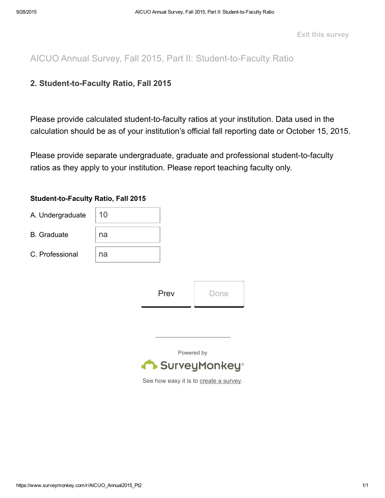Exit this survey

AICUO Annual Survey, Fall 2015, Part II: Student-to-Faculty Ratio

## 2. Student-to-Faculty Ratio, Fall 2015

Please provide calculated student-to-faculty ratios at your institution. Data used in the calculation should be as of your institution's official fall reporting date or October 15, 2015.

Please provide separate undergraduate, graduate and professional student-to-faculty ratios as they apply to your institution. Please report teaching faculty only.

### Student-to-Faculty Ratio, Fall 2015

| A. Undergraduate   | 10 |  |
|--------------------|----|--|
| <b>B.</b> Graduate | na |  |
| C. Professional    | na |  |

| Prev | Done |
|------|------|
|      |      |

Powered by

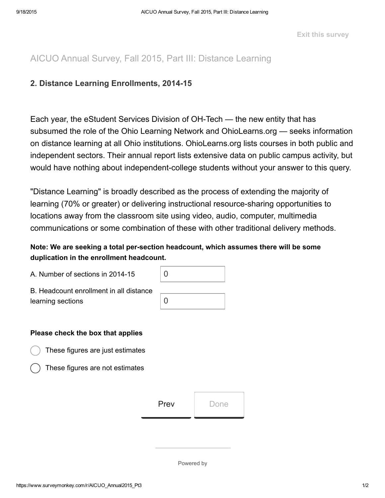# AICUO Annual Survey, Fall 2015, Part III: Distance Learning

### 2. Distance Learning Enrollments, 2014-15

Each year, the eStudent Services Division of OH-Tech — the new entity that has subsumed the role of the Ohio Learning Network and OhioLearns.org — seeks information on distance learning at all Ohio institutions. OhioLearns.org lists courses in both public and independent sectors. Their annual report lists extensive data on public campus activity, but would have nothing about independent-college students without your answer to this query.

"Distance Learning" is broadly described as the process of extending the majority of learning (70% or greater) or delivering instructional resource-sharing opportunities to locations away from the classroom site using video, audio, computer, multimedia communications or some combination of these with other traditional delivery methods.

### Note: We are seeking a total persection headcount, which assumes there will be some duplication in the enrollment headcount.

| A. Number of sections in 2014-15        | ∩ |
|-----------------------------------------|---|
| B. Headcount enrollment in all distance |   |
| learning sections                       |   |
|                                         |   |

#### Please check the box that applies

These figures are just estimates

These figures are not estimates

| Prev<br>Done |  |
|--------------|--|
|--------------|--|

Powered by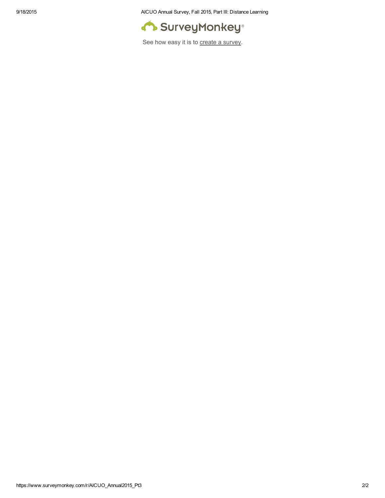9/18/2015 AICUO Annual Survey, Fall 2015, Part III: Distance Learning

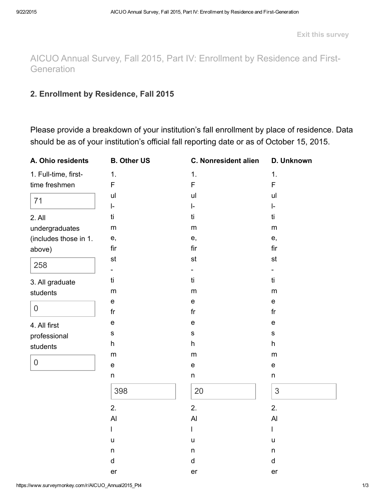AICUO Annual Survey, Fall 2015, Part IV: Enrollment by Residence and First-**Generation** 

### 2. Enrollment by Residence, Fall 2015

Please provide a breakdown of your institution's fall enrollment by place of residence. Data should be as of your institution's official fall reporting date or as of October 15, 2015.

| A. Ohio residents     | <b>B. Other US</b>      | <b>C. Nonresident alien</b>       | D. Unknown                        |
|-----------------------|-------------------------|-----------------------------------|-----------------------------------|
| 1. Full-time, first-  | 1.                      | 1.                                | 1.                                |
| time freshmen         | F                       | F                                 | F                                 |
| 71                    | ul                      | ul                                | ul                                |
|                       | $\vert$ -               | $\vert$ -                         | ŀ.                                |
| 2. All                | ti                      | ti                                | ti                                |
| undergraduates        | ${\sf m}$               | ${\sf m}$                         | m                                 |
| (includes those in 1. | e,                      | e,                                | e,                                |
| above)                | fir                     | fir                               | fir                               |
| 258                   | st                      | st                                | st                                |
|                       |                         |                                   |                                   |
| 3. All graduate       | ti                      | ti                                | ti                                |
| students              | ${\sf m}$               | ${\sf m}$                         | m                                 |
|                       | e                       | $\mathsf{e}% _{t}\left( t\right)$ | $\mathsf{e}% _{t}\left( t\right)$ |
| $\mathbf 0$           | $\operatorname{\sf fr}$ | fr                                | fr                                |
| 4. All first          | e                       | $\mathsf{e}% _{t}\left( t\right)$ | $\mathsf{e}% _{t}\left( t\right)$ |
| professional          | $\mathbf S$             | $\mathbf S$                       | $\mathbf S$                       |
| students              | h                       | h                                 | h                                 |
|                       | ${\sf m}$               | ${\sf m}$                         | ${\sf m}$                         |
| $\boldsymbol{0}$      | e                       | $\mathsf{e}% _{t}\left( t\right)$ | $\mathsf{e}% _{t}\left( t\right)$ |
|                       | n                       | $\sf n$                           | n                                 |
|                       | 398                     | 20                                | 3                                 |
|                       | 2.                      | 2.                                | 2.                                |
|                       | AI                      | AI                                | AI                                |
|                       | I                       | L                                 | I                                 |
|                       | u                       | u                                 | $\mathsf{u}$                      |
|                       | n                       | $\sf n$                           | n                                 |
|                       | d                       | d                                 | d                                 |
|                       | er                      | er                                | er                                |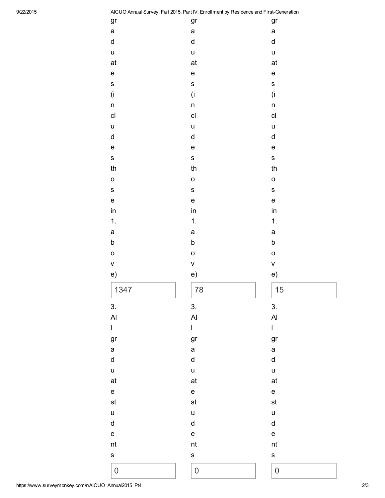9/22/2015 AICUO Annual Survey, Fall 2015, Part IV: Enrollment by Residence and First-Generation

|                  |                                   | AICOO Annual Survey, Fail 2015, Part IV. Enromment by Residence and First-Generation |
|------------------|-----------------------------------|--------------------------------------------------------------------------------------|
| gr               | gr                                | gr                                                                                   |
| a                | $\mathsf a$                       | a                                                                                    |
| d                | d                                 | $\sf d$                                                                              |
| u                | $\mathsf{u}$                      | u                                                                                    |
| at               | at                                | at                                                                                   |
| e                | $\mathsf{e}$                      | e                                                                                    |
| S                | S                                 | S                                                                                    |
| (i               | (i                                | (i                                                                                   |
| n                | $\mathsf{n}$                      | n                                                                                    |
| $\mathsf{cl}$    | c <sub>l</sub>                    | c <sub>l</sub>                                                                       |
| u                | $\mathsf{u}$                      | $\mathsf{u}$                                                                         |
| d                | d                                 | ${\sf d}$                                                                            |
| e                | $\mathsf{e}$                      | $\mathsf{e}$                                                                         |
| S                | $\mathbf s$                       | $\mathbf s$                                                                          |
| th               | th                                | th                                                                                   |
| O                | $\circ$                           | $\circ$                                                                              |
| S                | $\mathbf S$                       | S                                                                                    |
| e                | $\mathsf{e}% _{t}\left( t\right)$ | $\mathsf{e}$                                                                         |
| in               | in                                | in                                                                                   |
| 1.               | 1.                                | 1.                                                                                   |
| a                | a                                 | a                                                                                    |
| b                | b                                 | b                                                                                    |
| O                | $\circ$                           | $\circ$                                                                              |
| V                | $\mathsf{V}$                      | $\mathsf{V}$                                                                         |
| e)               | e)                                | e)                                                                                   |
| 1347             | 78                                | 15                                                                                   |
| 3.               | 3.                                | 3.                                                                                   |
| $\overline{A}$   | $\overline{A}$                    | AI                                                                                   |
| L                | $\mathsf{I}$                      | $\mathsf I$                                                                          |
| gr               | gr                                | gr                                                                                   |
| a                | a                                 | a                                                                                    |
| d                | d                                 | d                                                                                    |
| u                | $\mathsf{u}$                      | $\mathsf{u}$                                                                         |
| at               | at                                | at                                                                                   |
| e                | $\mathsf{e}% _{t}\left( t\right)$ | $\mathsf{e}% _{t}\left( t\right)$                                                    |
| st               | st                                | st                                                                                   |
| u                | u                                 | u                                                                                    |
| d                | ${\sf d}$                         | $\sf d$                                                                              |
| e                | $\mathsf{e}% _{t}\left( t\right)$ | $\mathsf{e}% _{t}\left( t\right)$                                                    |
| nt               | nt                                | nt                                                                                   |
| S                | S                                 | S                                                                                    |
| $\boldsymbol{0}$ | $\pmb{0}$                         | $\boldsymbol{0}$                                                                     |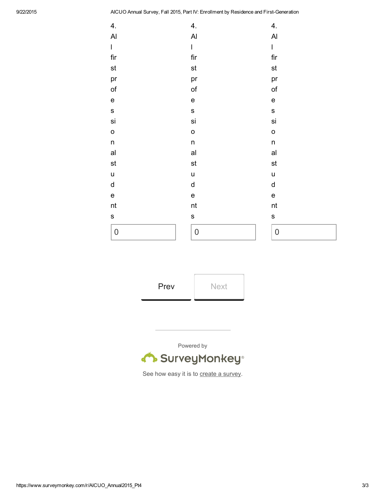9/22/2015 AICUO Annual Survey, Fall 2015, Part IV: Enrollment by Residence and First-Generation

| 4.                                | 4.                                                                                                                                                                                                                                                                                                                                                                               | 4.                                                                                                                                                                                                                                                                                                                                                                               |
|-----------------------------------|----------------------------------------------------------------------------------------------------------------------------------------------------------------------------------------------------------------------------------------------------------------------------------------------------------------------------------------------------------------------------------|----------------------------------------------------------------------------------------------------------------------------------------------------------------------------------------------------------------------------------------------------------------------------------------------------------------------------------------------------------------------------------|
| AI                                | $\overline{A}$                                                                                                                                                                                                                                                                                                                                                                   | $\overline{A}$                                                                                                                                                                                                                                                                                                                                                                   |
| $\mathsf I$                       | $\begin{array}{c} \rule{0pt}{2.5ex} \rule{0pt}{2.5ex} \rule{0pt}{2.5ex} \rule{0pt}{2.5ex} \rule{0pt}{2.5ex} \rule{0pt}{2.5ex} \rule{0pt}{2.5ex} \rule{0pt}{2.5ex} \rule{0pt}{2.5ex} \rule{0pt}{2.5ex} \rule{0pt}{2.5ex} \rule{0pt}{2.5ex} \rule{0pt}{2.5ex} \rule{0pt}{2.5ex} \rule{0pt}{2.5ex} \rule{0pt}{2.5ex} \rule{0pt}{2.5ex} \rule{0pt}{2.5ex} \rule{0pt}{2.5ex} \rule{0$ | $\begin{array}{c} \rule{0pt}{2.5ex} \rule{0pt}{2.5ex} \rule{0pt}{2.5ex} \rule{0pt}{2.5ex} \rule{0pt}{2.5ex} \rule{0pt}{2.5ex} \rule{0pt}{2.5ex} \rule{0pt}{2.5ex} \rule{0pt}{2.5ex} \rule{0pt}{2.5ex} \rule{0pt}{2.5ex} \rule{0pt}{2.5ex} \rule{0pt}{2.5ex} \rule{0pt}{2.5ex} \rule{0pt}{2.5ex} \rule{0pt}{2.5ex} \rule{0pt}{2.5ex} \rule{0pt}{2.5ex} \rule{0pt}{2.5ex} \rule{0$ |
| fir                               | fir                                                                                                                                                                                                                                                                                                                                                                              | fir                                                                                                                                                                                                                                                                                                                                                                              |
| $\operatorname{\mathsf{st}}$      | st                                                                                                                                                                                                                                                                                                                                                                               | st                                                                                                                                                                                                                                                                                                                                                                               |
| pr                                | pr                                                                                                                                                                                                                                                                                                                                                                               | pr                                                                                                                                                                                                                                                                                                                                                                               |
| of                                | of                                                                                                                                                                                                                                                                                                                                                                               | of                                                                                                                                                                                                                                                                                                                                                                               |
| $\mathsf{e}% _{t}\left( t\right)$ | $\mathsf{e}% _{t}\left( t\right)$                                                                                                                                                                                                                                                                                                                                                | $\mathsf{e}% _{t}\left( t\right)$                                                                                                                                                                                                                                                                                                                                                |
| $\sf{s}$                          | S                                                                                                                                                                                                                                                                                                                                                                                | S                                                                                                                                                                                                                                                                                                                                                                                |
| si                                | si                                                                                                                                                                                                                                                                                                                                                                               | si                                                                                                                                                                                                                                                                                                                                                                               |
| o                                 | $\circ$                                                                                                                                                                                                                                                                                                                                                                          | $\circ$                                                                                                                                                                                                                                                                                                                                                                          |
| n                                 | $\sf n$                                                                                                                                                                                                                                                                                                                                                                          | n                                                                                                                                                                                                                                                                                                                                                                                |
| al                                | al                                                                                                                                                                                                                                                                                                                                                                               | al                                                                                                                                                                                                                                                                                                                                                                               |
| st                                | st                                                                                                                                                                                                                                                                                                                                                                               | st                                                                                                                                                                                                                                                                                                                                                                               |
| $\mathsf{u}$                      | u                                                                                                                                                                                                                                                                                                                                                                                | $\mathsf{u}$                                                                                                                                                                                                                                                                                                                                                                     |
| d                                 | d                                                                                                                                                                                                                                                                                                                                                                                | d                                                                                                                                                                                                                                                                                                                                                                                |
| e                                 | $\mathsf{e}% _{t}\left( t\right)$                                                                                                                                                                                                                                                                                                                                                | e                                                                                                                                                                                                                                                                                                                                                                                |
| nt                                | nt                                                                                                                                                                                                                                                                                                                                                                               | nt                                                                                                                                                                                                                                                                                                                                                                               |
| S                                 | S                                                                                                                                                                                                                                                                                                                                                                                | S                                                                                                                                                                                                                                                                                                                                                                                |
| 0                                 | $\mathsf{O}\xspace$                                                                                                                                                                                                                                                                                                                                                              | $\boldsymbol{0}$                                                                                                                                                                                                                                                                                                                                                                 |

| 0 |  |  |
|---|--|--|
|   |  |  |

Prev Next

Powered by

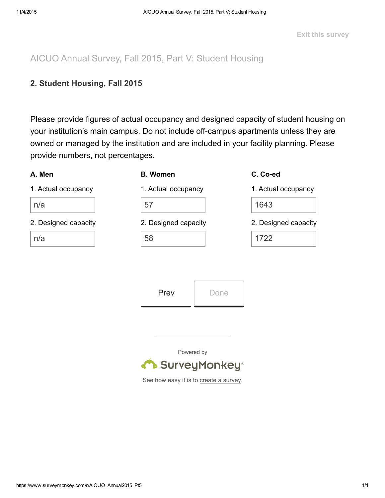AICUO Annual Survey, Fall 2015, Part V: Student Housing

## 2. Student Housing, Fall 2015

Please provide figures of actual occupancy and designed capacity of student housing on your institution's main campus. Do not include off-campus apartments unless they are owned or managed by the institution and are included in your facility planning. Please provide numbers, not percentages.

#### A. Men

### B. Women

 $57$ 

1. Actual occupancy

n/a

2. Designed capacity

n/a

| <u>JI</u>            |  |
|----------------------|--|
| 2. Designed capacity |  |
|                      |  |

1. Actual occupancy

#### C. Co-ed

1. Actual occupancy

1643

2. Designed capacity

1722

Prev Done

Powered by

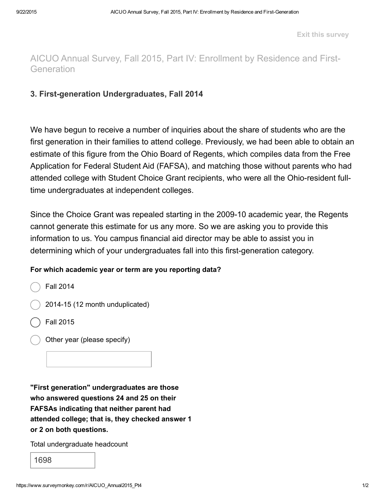Exit this survey

# AICUO Annual Survey, Fall 2015, Part IV: Enrollment by Residence and First-**Generation**

### 3. First-generation Undergraduates, Fall 2014

We have begun to receive a number of inquiries about the share of students who are the first generation in their families to attend college. Previously, we had been able to obtain an estimate of this figure from the Ohio Board of Regents, which compiles data from the Free Application for Federal Student Aid (FAFSA), and matching those without parents who had attended college with Student Choice Grant recipients, who were all the Ohio-resident fulltime undergraduates at independent colleges.

Since the Choice Grant was repealed starting in the 2009-10 academic year, the Regents cannot generate this estimate for us any more. So we are asking you to provide this information to us. You campus financial aid director may be able to assist you in determining which of your undergraduates fall into this first-generation category.

#### For which academic year or term are you reporting data?

Fall 2014

- 2014-15 (12 month unduplicated)
- Fall 2015
- Other year (please specify)

"First generation" undergraduates are those who answered questions 24 and 25 on their FAFSAs indicating that neither parent had attended college; that is, they checked answer 1 or 2 on both questions.

Total undergraduate headcount

1698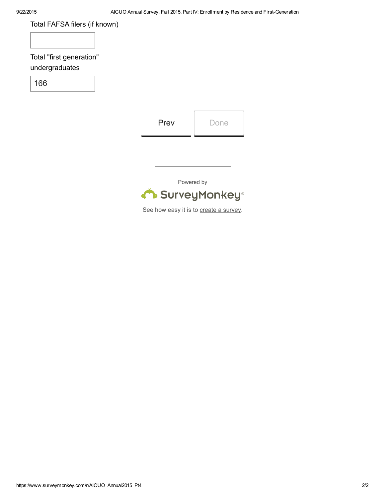| Total FAFSA filers (if known)              |                                        |      |  |
|--------------------------------------------|----------------------------------------|------|--|
| Total "first generation"<br>undergraduates |                                        |      |  |
| 166                                        |                                        |      |  |
|                                            |                                        |      |  |
|                                            | Prev                                   | Done |  |
|                                            |                                        |      |  |
|                                            |                                        |      |  |
| Powered by                                 |                                        |      |  |
|                                            | SurveyMonkey®                          |      |  |
|                                            | See how easy it is to create a survey. |      |  |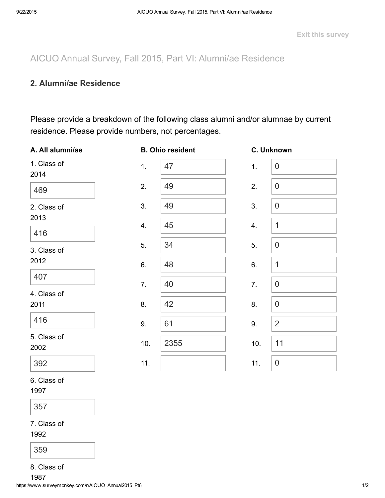AICUO Annual Survey, Fall 2015, Part VI: Alumni/ae Residence

### 2. Alumni/ae Residence

Please provide a breakdown of the following class alumni and/or alumnae by current residence. Please provide numbers, not percentages.

| A. All alumni/ae    |     | <b>B. Ohio resident</b> |     | C. Unknown     |
|---------------------|-----|-------------------------|-----|----------------|
| 1. Class of<br>2014 | 1.  | 47                      | 1.  | $\mathbf 0$    |
| 469                 | 2.  | 49                      | 2.  | $\theta$       |
| 2. Class of         | 3.  | 49                      | 3.  | $\theta$       |
| 2013<br>416         | 4.  | 45                      | 4.  | $\mathbf 1$    |
| 3. Class of         | 5.  | 34                      | 5.  | $\overline{0}$ |
| 2012                | 6.  | 48                      | 6.  | 1              |
| 407                 | 7.  | 40                      | 7.  | $\theta$       |
| 4. Class of<br>2011 | 8.  | 42                      | 8.  | $\theta$       |
| 416                 | 9.  | 61                      | 9.  | $\overline{2}$ |
| 5. Class of<br>2002 | 10. | 2355                    | 10. | 11             |
| 392                 | 11. |                         | 11. | $\mathbf 0$    |

1997

357

7. Class of

1992

359

8. Class of

1987